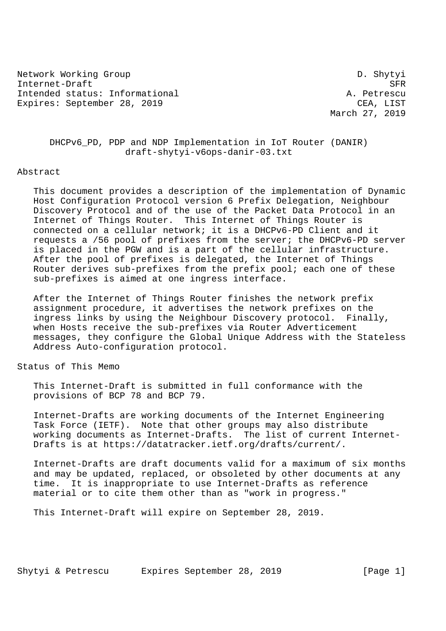Network Working Group Density Communication of the D. Shytyi Internet-Draft SFR Intended status: Informational and a set of the set of the set of the set of the set of the set of the set of the set of the set of the set of the set of the set of the set of the set of the set of the set of the set of th Expires: September 28, 2019 CEA, LIST

March 27, 2019

 DHCPv6\_PD, PDP and NDP Implementation in IoT Router (DANIR) draft-shytyi-v6ops-danir-03.txt

#### Abstract

 This document provides a description of the implementation of Dynamic Host Configuration Protocol version 6 Prefix Delegation, Neighbour Discovery Protocol and of the use of the Packet Data Protocol in an Internet of Things Router. This Internet of Things Router is connected on a cellular network; it is a DHCPv6-PD Client and it requests a /56 pool of prefixes from the server; the DHCPv6-PD server is placed in the PGW and is a part of the cellular infrastructure. After the pool of prefixes is delegated, the Internet of Things Router derives sub-prefixes from the prefix pool; each one of these sub-prefixes is aimed at one ingress interface.

 After the Internet of Things Router finishes the network prefix assignment procedure, it advertises the network prefixes on the ingress links by using the Neighbour Discovery protocol. Finally, when Hosts receive the sub-prefixes via Router Adverticement messages, they configure the Global Unique Address with the Stateless Address Auto-configuration protocol.

# Status of This Memo

 This Internet-Draft is submitted in full conformance with the provisions of BCP 78 and BCP 79.

 Internet-Drafts are working documents of the Internet Engineering Task Force (IETF). Note that other groups may also distribute working documents as Internet-Drafts. The list of current Internet- Drafts is at https://datatracker.ietf.org/drafts/current/.

 Internet-Drafts are draft documents valid for a maximum of six months and may be updated, replaced, or obsoleted by other documents at any time. It is inappropriate to use Internet-Drafts as reference material or to cite them other than as "work in progress."

This Internet-Draft will expire on September 28, 2019.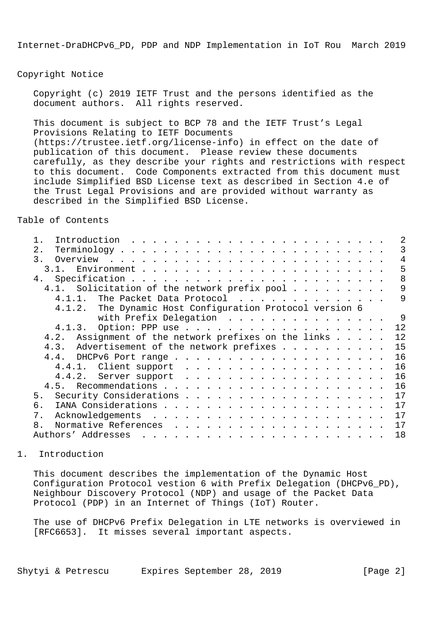Copyright Notice

 Copyright (c) 2019 IETF Trust and the persons identified as the document authors. All rights reserved.

 This document is subject to BCP 78 and the IETF Trust's Legal Provisions Relating to IETF Documents (https://trustee.ietf.org/license-info) in effect on the date of publication of this document. Please review these documents carefully, as they describe your rights and restrictions with respect to this document. Code Components extracted from this document must include Simplified BSD License text as described in Section 4.e of the Trust Legal Provisions and are provided without warranty as described in the Simplified BSD License.

Table of Contents

|                                                          | 2  |
|----------------------------------------------------------|----|
| 2.                                                       | 3  |
| $\overline{3}$ .                                         | 4  |
| 3.1.                                                     | 5  |
| 4.                                                       | 8  |
| 4.1. Solicitation of the network prefix pool             | 9  |
| The Packet Data Protocol<br>4.1.1.                       | 9  |
| 4.1.2. The Dynamic Host Configuration Protocol version 6 |    |
| with Prefix Delegation                                   | 9  |
|                                                          | 12 |
| Assignment of the network prefixes on the links<br>4.2.  | 12 |
| Advertisement of the network prefixes<br>4.3.            | 15 |
|                                                          | 16 |
|                                                          | 16 |
|                                                          | 16 |
|                                                          | 16 |
| 5 <sub>1</sub>                                           | 17 |
| б.                                                       | 17 |
| $7$ .                                                    | 17 |
| 8.                                                       | 17 |
| Authors' Addresses                                       | 18 |
|                                                          |    |

1. Introduction

 This document describes the implementation of the Dynamic Host Configuration Protocol vestion 6 with Prefix Delegation (DHCPv6\_PD), Neighbour Discovery Protocol (NDP) and usage of the Packet Data Protocol (PDP) in an Internet of Things (IoT) Router.

 The use of DHCPv6 Prefix Delegation in LTE networks is overviewed in [RFC6653]. It misses several important aspects.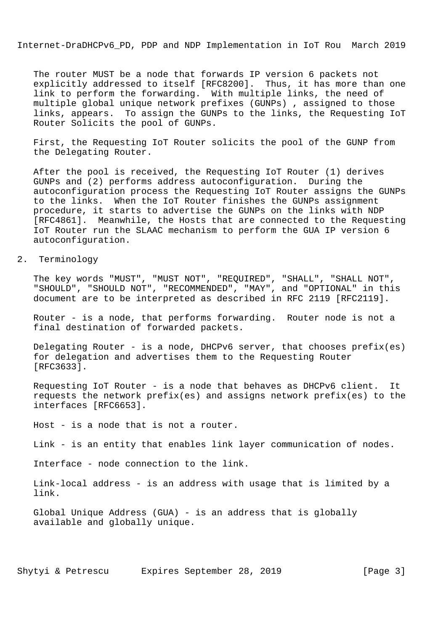The router MUST be a node that forwards IP version 6 packets not explicitly addressed to itself [RFC8200]. Thus, it has more than one link to perform the forwarding. With multiple links, the need of multiple global unique network prefixes (GUNPs) , assigned to those links, appears. To assign the GUNPs to the links, the Requesting IoT Router Solicits the pool of GUNPs.

 First, the Requesting IoT Router solicits the pool of the GUNP from the Delegating Router.

 After the pool is received, the Requesting IoT Router (1) derives GUNPs and (2) performs address autoconfiguration. During the autoconfiguration process the Requesting IoT Router assigns the GUNPs to the links. When the IoT Router finishes the GUNPs assignment procedure, it starts to advertise the GUNPs on the links with NDP [RFC4861]. Meanwhile, the Hosts that are connected to the Requesting IoT Router run the SLAAC mechanism to perform the GUA IP version 6 autoconfiguration.

# 2. Terminology

 The key words "MUST", "MUST NOT", "REQUIRED", "SHALL", "SHALL NOT", "SHOULD", "SHOULD NOT", "RECOMMENDED", "MAY", and "OPTIONAL" in this document are to be interpreted as described in RFC 2119 [RFC2119].

 Router - is a node, that performs forwarding. Router node is not a final destination of forwarded packets.

Delegating Router - is a node, DHCPv6 server, that chooses  $prefix(es)$  for delegation and advertises them to the Requesting Router [RFC3633].

 Requesting IoT Router - is a node that behaves as DHCPv6 client. It requests the network prefix(es) and assigns network prefix(es) to the interfaces [RFC6653].

Host - is a node that is not a router.

Link - is an entity that enables link layer communication of nodes.

Interface - node connection to the link.

 Link-local address - is an address with usage that is limited by a link.

 Global Unique Address (GUA) - is an address that is globally available and globally unique.

Shytyi & Petrescu Expires September 28, 2019 [Page 3]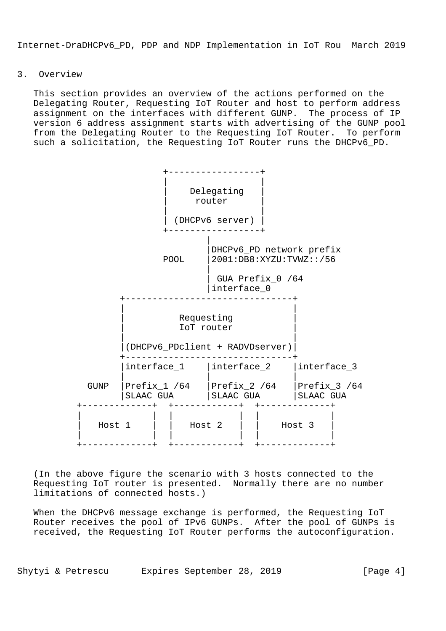# 3. Overview

 This section provides an overview of the actions performed on the Delegating Router, Requesting IoT Router and host to perform address assignment on the interfaces with different GUNP. The process of IP version 6 address assignment starts with advertising of the GUNP pool from the Delegating Router to the Requesting IoT Router. To perform such a solicitation, the Requesting IoT Router runs the DHCPv6\_PD.



 (In the above figure the scenario with 3 hosts connected to the Requesting IoT router is presented. Normally there are no number limitations of connected hosts.)

 When the DHCPv6 message exchange is performed, the Requesting IoT Router receives the pool of IPv6 GUNPs. After the pool of GUNPs is received, the Requesting IoT Router performs the autoconfiguration.

Shytyi & Petrescu Expires September 28, 2019 [Page 4]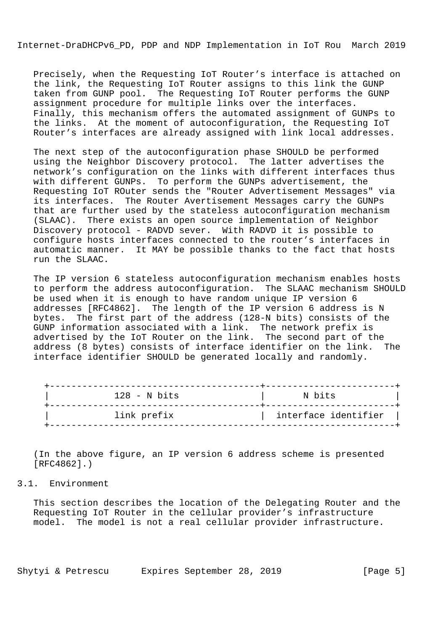Precisely, when the Requesting IoT Router's interface is attached on the link, the Requesting IoT Router assigns to this link the GUNP taken from GUNP pool. The Requesting IoT Router performs the GUNP assignment procedure for multiple links over the interfaces. Finally, this mechanism offers the automated assignment of GUNPs to the links. At the moment of autoconfiguration, the Requesting IoT Router's interfaces are already assigned with link local addresses.

 The next step of the autoconfiguration phase SHOULD be performed using the Neighbor Discovery protocol. The latter advertises the network's configuration on the links with different interfaces thus with different GUNPs. To perform the GUNPs advertisement, the Requesting IoT ROuter sends the "Router Advertisement Messages" via its interfaces. The Router Avertisement Messages carry the GUNPs that are further used by the stateless autoconfiguration mechanism (SLAAC). There exists an open source implementation of Neighbor Discovery protocol - RADVD sever. With RADVD it is possible to configure hosts interfaces connected to the router's interfaces in automatic manner. It MAY be possible thanks to the fact that hosts run the SLAAC.

 The IP version 6 stateless autoconfiguration mechanism enables hosts to perform the address autoconfiguration. The SLAAC mechanism SHOULD be used when it is enough to have random unique IP version 6 addresses [RFC4862]. The length of the IP version 6 address is N bytes. The first part of the address (128-N bits) consists of the GUNP information associated with a link. The network prefix is advertised by the IoT Router on the link. The second part of the address (8 bytes) consists of interface identifier on the link. The interface identifier SHOULD be generated locally and randomly.

| $128 - N$ bits | N bits               |
|----------------|----------------------|
| link prefix    | interface identifier |

 (In the above figure, an IP version 6 address scheme is presented [RFC4862].)

### 3.1. Environment

 This section describes the location of the Delegating Router and the Requesting IoT Router in the cellular provider's infrastructure model. The model is not a real cellular provider infrastructure.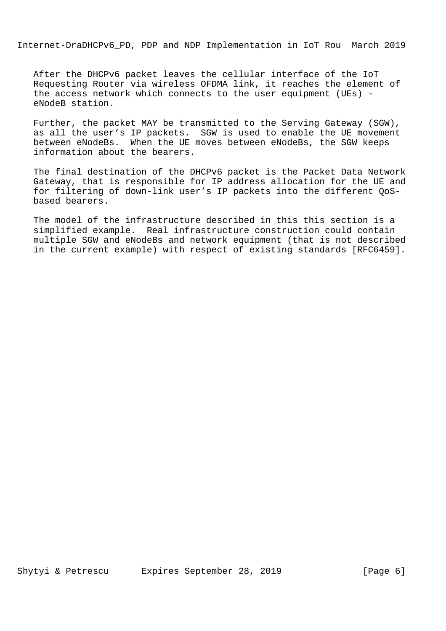After the DHCPv6 packet leaves the cellular interface of the IoT Requesting Router via wireless OFDMA link, it reaches the element of the access network which connects to the user equipment (UEs) eNodeB station.

 Further, the packet MAY be transmitted to the Serving Gateway (SGW), as all the user's IP packets. SGW is used to enable the UE movement between eNodeBs. When the UE moves between eNodeBs, the SGW keeps information about the bearers.

 The final destination of the DHCPv6 packet is the Packet Data Network Gateway, that is responsible for IP address allocation for the UE and for filtering of down-link user's IP packets into the different QoS based bearers.

 The model of the infrastructure described in this this section is a simplified example. Real infrastructure construction could contain multiple SGW and eNodeBs and network equipment (that is not described in the current example) with respect of existing standards [RFC6459].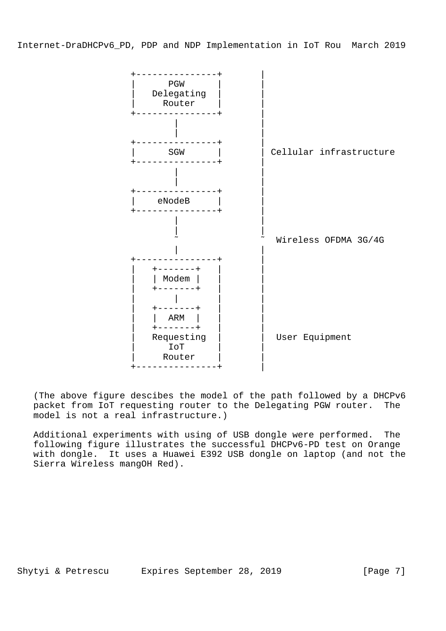

 (The above figure descibes the model of the path followed by a DHCPv6 packet from IoT requesting router to the Delegating PGW router. The model is not a real infrastructure.)

 Additional experiments with using of USB dongle were performed. The following figure illustrates the successful DHCPv6-PD test on Orange with dongle. It uses a Huawei E392 USB dongle on laptop (and not the Sierra Wireless mangOH Red).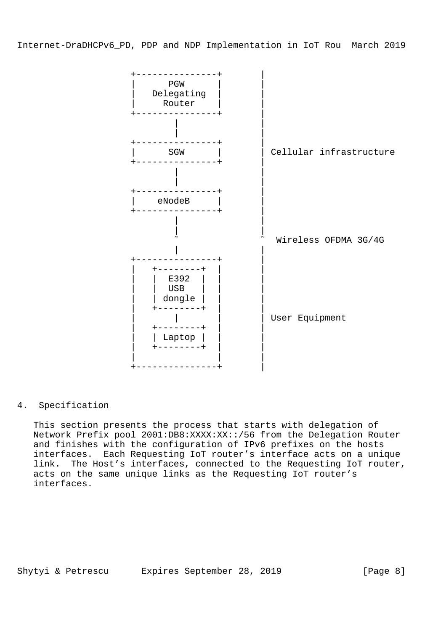

4. Specification

 This section presents the process that starts with delegation of Network Prefix pool 2001:DB8:XXXX:XX::/56 from the Delegation Router and finishes with the configuration of IPv6 prefixes on the hosts interfaces. Each Requesting IoT router's interface acts on a unique link. The Host's interfaces, connected to the Requesting IoT router, acts on the same unique links as the Requesting IoT router's interfaces.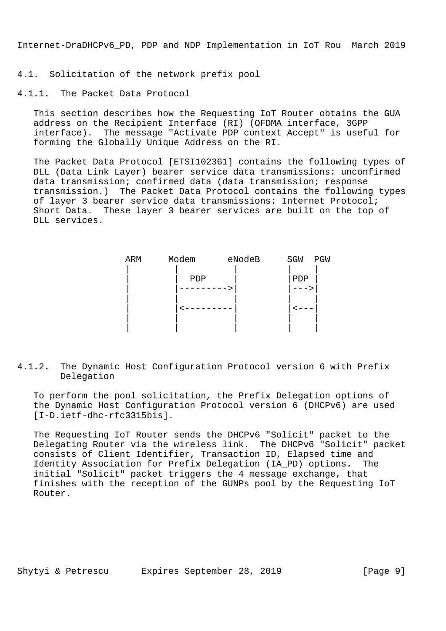4.1. Solicitation of the network prefix pool

4.1.1. The Packet Data Protocol

 This section describes how the Requesting IoT Router obtains the GUA address on the Recipient Interface (RI) (OFDMA interface, 3GPP interface). The message "Activate PDP context Accept" is useful for forming the Globally Unique Address on the RI.

 The Packet Data Protocol [ETSI102361] contains the following types of DLL (Data Link Layer) bearer service data transmissions: unconfirmed data transmission; confirmed data (data transmission; response transmission.) The Packet Data Protocol contains the following types of layer 3 bearer service data transmissions: Internet Protocol; Short Data. These layer 3 bearer services are built on the top of DLL services.

| ARM | Modem | eNodeB | SGW | PGW |
|-----|-------|--------|-----|-----|
|     |       |        |     |     |
|     | PDP   |        | PDP |     |
|     |       |        |     |     |
|     |       |        |     |     |
|     |       |        |     |     |
|     |       |        |     |     |
|     |       |        |     |     |

4.1.2. The Dynamic Host Configuration Protocol version 6 with Prefix Delegation

 To perform the pool solicitation, the Prefix Delegation options of the Dynamic Host Configuration Protocol version 6 (DHCPv6) are used [I-D.ietf-dhc-rfc3315bis].

 The Requesting IoT Router sends the DHCPv6 "Solicit" packet to the Delegating Router via the wireless link. The DHCPv6 "Solicit" packet consists of Client Identifier, Transaction ID, Elapsed time and Identity Association for Prefix Delegation (IA\_PD) options. The initial "Solicit" packet triggers the 4 message exchange, that finishes with the reception of the GUNPs pool by the Requesting IoT Router.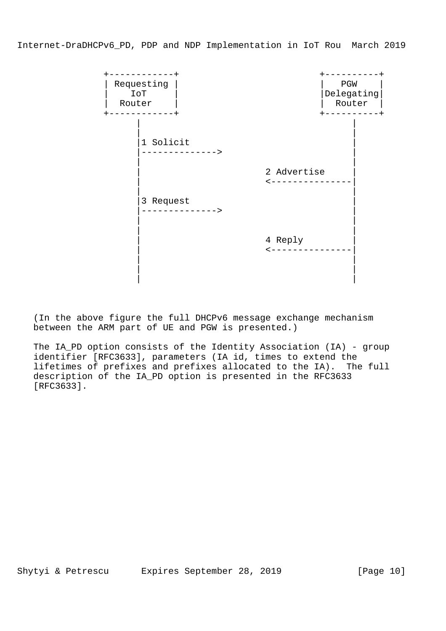

 (In the above figure the full DHCPv6 message exchange mechanism between the ARM part of UE and PGW is presented.)

 The IA\_PD option consists of the Identity Association (IA) - group identifier [RFC3633], parameters (IA id, times to extend the lifetimes of prefixes and prefixes allocated to the IA). The full description of the IA\_PD option is presented in the RFC3633 [RFC3633].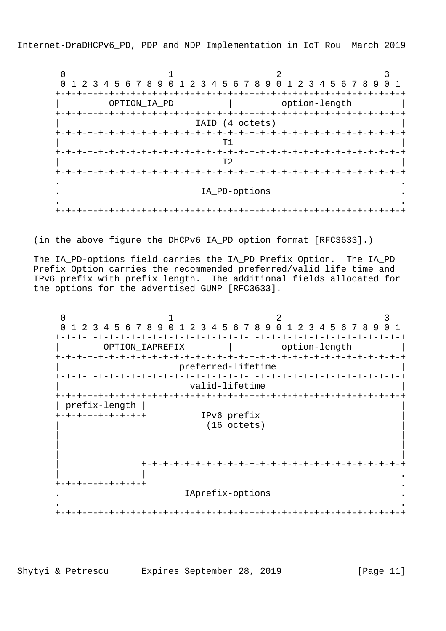$0$  1 2 3 0 1 2 3 4 5 6 7 8 9 0 1 2 3 4 5 6 7 8 9 0 1 2 3 4 5 6 7 8 9 0 1 +-+-+-+-+-+-+-+-+-+-+-+-+-+-+-+-+-+-+-+-+-+-+-+-+-+-+-+-+-+-+-+-+ OPTION IA PD | option-length +-+-+-+-+-+-+-+-+-+-+-+-+-+-+-+-+-+-+-+-+-+-+-+-+-+-+-+-+-+-+-+-+ | IAID (4 octets) | +-+-+-+-+-+-+-+-+-+-+-+-+-+-+-+-+-+-+-+-+-+-+-+-+-+-+-+-+-+-+-+-+  $\mathbb{T}^{1}$  and  $\mathbb{T}^{1}$  and  $\mathbb{T}^{1}$  and  $\mathbb{T}^{1}$  and  $\mathbb{T}^{1}$  and  $\mathbb{T}^{1}$  and  $\mathbb{T}^{1}$  and  $\mathbb{T}^{1}$  and  $\mathbb{T}^{1}$  and  $\mathbb{T}^{1}$  and  $\mathbb{T}^{1}$  and  $\mathbb{T}^{1}$  and  $\mathbb{T}^{1}$  and  $\mathbb{T}^{1}$  and  $\mathbb{T}^{1}$  +-+-+-+-+-+-+-+-+-+-+-+-+-+-+-+-+-+-+-+-+-+-+-+-+-+-+-+-+-+-+-+-+  $\boxed{\phantom{a}72}$  +-+-+-+-+-+-+-+-+-+-+-+-+-+-+-+-+-+-+-+-+-+-+-+-+-+-+-+-+-+-+-+-+ . The contract of the contract of the contract of the contract of the contract of the contract of the contract of the contract of the contract of the contract of the contract of the contract of the contract of the contrac IA PD-options . The contract of the contract of the contract of the contract of the contract of the contract of the contract of the contract of the contract of the contract of the contract of the contract of the contract of the contrac +-+-+-+-+-+-+-+-+-+-+-+-+-+-+-+-+-+-+-+-+-+-+-+-+-+-+-+-+-+-+-+-+

(in the above figure the DHCPv6 IA\_PD option format [RFC3633].)

 The IA\_PD-options field carries the IA\_PD Prefix Option. The IA\_PD Prefix Option carries the recommended preferred/valid life time and IPv6 prefix with prefix length. The additional fields allocated for the options for the advertised GUNP [RFC3633].

 $0$  1 2 3 0 1 2 3 4 5 6 7 8 9 0 1 2 3 4 5 6 7 8 9 0 1 2 3 4 5 6 7 8 9 0 1 +-+-+-+-+-+-+-+-+-+-+-+-+-+-+-+-+-+-+-+-+-+-+-+-+-+-+-+-+-+-+-+-+ OPTION\_IAPREFIX | option-length +-+-+-+-+-+-+-+-+-+-+-+-+-+-+-+-+-+-+-+-+-+-+-+-+-+-+-+-+-+-+-+-+ | preferred-lifetime | +-+-+-+-+-+-+-+-+-+-+-+-+-+-+-+-+-+-+-+-+-+-+-+-+-+-+-+-+-+-+-+-+ valid-lifetime +-+-+-+-+-+-+-+-+-+-+-+-+-+-+-+-+-+-+-+-+-+-+-+-+-+-+-+-+-+-+-+-+ | prefix-length | | +-+-+-+-+-+-+-+-+ IPv6 prefix | (16 octets) | | | | | | | +-+-+-+-+-+-+-+-+-+-+-+-+-+-+-+-+-+-+-+-+-+-+-+-+  $\mathcal{L} = \left\{ \begin{array}{ccc} 1 & \mathcal{L}_1 & \mathcal{L}_2 & \mathcal{L}_3 & \mathcal{L}_4 & \mathcal{L}_5 & \mathcal{L}_6 & \mathcal{L}_7 & \mathcal{L}_8 & \mathcal{L}_8 & \mathcal{L}_9 & \mathcal{L}_9 & \mathcal{L}_9 & \mathcal{L}_9 & \mathcal{L}_9 & \mathcal{L}_9 & \mathcal{L}_9 & \mathcal{L}_9 & \mathcal{L}_9 & \mathcal{L}_9 & \mathcal{L}_9 & \mathcal{L}_9 & \mathcal{L}_9 & \mathcal{L}_9 & \mathcal{L}_9 & \mathcal{L}_9$  +-+-+-+-+-+-+-+-+ . . IAprefix-options . . The contract of the contract of the contract of the contract of the contract of the contract of the contract of the contract of the contract of the contract of the contract of the contract of the contract of the contrac +-+-+-+-+-+-+-+-+-+-+-+-+-+-+-+-+-+-+-+-+-+-+-+-+-+-+-+-+-+-+-+-+

Shytyi & Petrescu Expires September 28, 2019 [Page 11]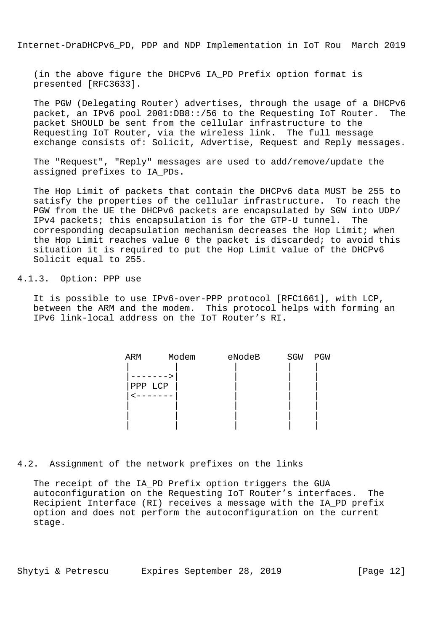(in the above figure the DHCPv6 IA\_PD Prefix option format is presented [RFC3633].

 The PGW (Delegating Router) advertises, through the usage of a DHCPv6 packet, an IPv6 pool 2001:DB8::/56 to the Requesting IoT Router. The packet SHOULD be sent from the cellular infrastructure to the Requesting IoT Router, via the wireless link. The full message exchange consists of: Solicit, Advertise, Request and Reply messages.

 The "Request", "Reply" messages are used to add/remove/update the assigned prefixes to IA\_PDs.

 The Hop Limit of packets that contain the DHCPv6 data MUST be 255 to satisfy the properties of the cellular infrastructure. To reach the PGW from the UE the DHCPv6 packets are encapsulated by SGW into UDP/ IPv4 packets; this encapsulation is for the GTP-U tunnel. The corresponding decapsulation mechanism decreases the Hop Limit; when the Hop Limit reaches value 0 the packet is discarded; to avoid this situation it is required to put the Hop Limit value of the DHCPv6 Solicit equal to 255.

## 4.1.3. Option: PPP use

 It is possible to use IPv6-over-PPP protocol [RFC1661], with LCP, between the ARM and the modem. This protocol helps with forming an IPv6 link-local address on the IoT Router's RI.

| ARM     | Modem | eNodeB | SGW | PGW |
|---------|-------|--------|-----|-----|
|         |       |        |     |     |
|         |       |        |     |     |
| PPP LCP |       |        |     |     |
|         |       |        |     |     |
|         |       |        |     |     |
|         |       |        |     |     |
|         |       |        |     |     |

4.2. Assignment of the network prefixes on the links

 The receipt of the IA\_PD Prefix option triggers the GUA autoconfiguration on the Requesting IoT Router's interfaces. The Recipient Interface (RI) receives a message with the IA\_PD prefix option and does not perform the autoconfiguration on the current stage.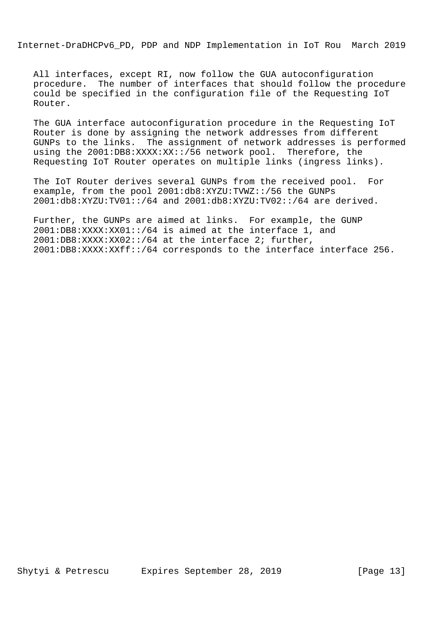All interfaces, except RI, now follow the GUA autoconfiguration procedure. The number of interfaces that should follow the procedure could be specified in the configuration file of the Requesting IoT Router.

 The GUA interface autoconfiguration procedure in the Requesting IoT Router is done by assigning the network addresses from different GUNPs to the links. The assignment of network addresses is performed using the 2001:DB8:XXXX:XX::/56 network pool. Therefore, the Requesting IoT Router operates on multiple links (ingress links).

 The IoT Router derives several GUNPs from the received pool. For example, from the pool 2001:db8:XYZU:TVWZ::/56 the GUNPs 2001:db8:XYZU:TV01::/64 and 2001:db8:XYZU:TV02::/64 are derived.

 Further, the GUNPs are aimed at links. For example, the GUNP 2001:DB8:XXXX:XX01::/64 is aimed at the interface 1, and 2001:DB8:XXXX:XX02::/64 at the interface 2; further, 2001:DB8:XXXX:XXff::/64 corresponds to the interface interface 256.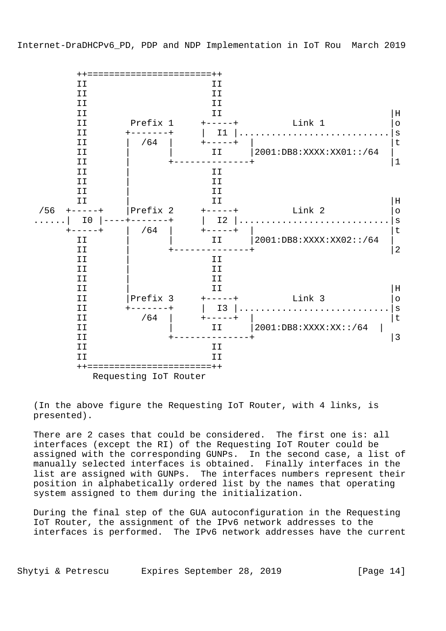

 (In the above figure the Requesting IoT Router, with 4 links, is presented).

 There are 2 cases that could be considered. The first one is: all interfaces (except the RI) of the Requesting IoT Router could be assigned with the corresponding GUNPs. In the second case, a list of manually selected interfaces is obtained. Finally interfaces in the list are assigned with GUNPs. The interfaces numbers represent their position in alphabetically ordered list by the names that operating system assigned to them during the initialization.

 During the final step of the GUA autoconfiguration in the Requesting IoT Router, the assignment of the IPv6 network addresses to the interfaces is performed. The IPv6 network addresses have the current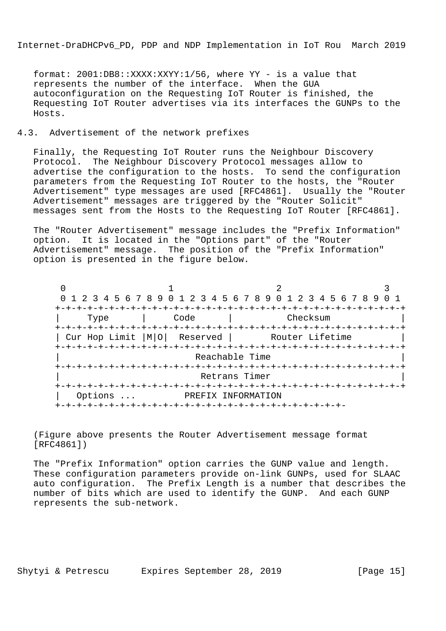format: 2001:DB8::XXXX:XXYY:1/56, where YY - is a value that represents the number of the interface. When the GUA autoconfiguration on the Requesting IoT Router is finished, the Requesting IoT Router advertises via its interfaces the GUNPs to the Hosts.

## 4.3. Advertisement of the network prefixes

 Finally, the Requesting IoT Router runs the Neighbour Discovery Protocol. The Neighbour Discovery Protocol messages allow to advertise the configuration to the hosts. To send the configuration parameters from the Requesting IoT Router to the hosts, the "Router Advertisement" type messages are used [RFC4861]. Usually the "Router Advertisement" messages are triggered by the "Router Solicit" messages sent from the Hosts to the Requesting IoT Router [RFC4861].

 The "Router Advertisement" message includes the "Prefix Information" option. It is located in the "Options part" of the "Router Advertisement" message. The position of the "Prefix Information" option is presented in the figure below.

 $0$  1 2 3 0 1 2 3 4 5 6 7 8 9 0 1 2 3 4 5 6 7 8 9 0 1 2 3 4 5 6 7 8 9 0 1 +-+-+-+-+-+-+-+-+-+-+-+-+-+-+-+-+-+-+-+-+-+-+-+-+-+-+-+-+-+-+-+-+ | Type | Code | Checksum | +-+-+-+-+-+-+-+-+-+-+-+-+-+-+-+-+-+-+-+-+-+-+-+-+-+-+-+-+-+-+-+-+ | Cur Hop Limit |M|O| Reserved | Router Lifetime +-+-+-+-+-+-+-+-+-+-+-+-+-+-+-+-+-+-+-+-+-+-+-+-+-+-+-+-+-+-+-+-+ Reachable Time +-+-+-+-+-+-+-+-+-+-+-+-+-+-+-+-+-+-+-+-+-+-+-+-+-+-+-+-+-+-+-+-+ Retrans Timer +-+-+-+-+-+-+-+-+-+-+-+-+-+-+-+-+-+-+-+-+-+-+-+-+-+-+-+-+-+-+-+-+ | Options ... PREFIX INFORMATION +-+-+-+-+-+-+-+-+-+-+-+-+-+-+-+-+-+-+-+-+-+-+-+-+-+-+-

 (Figure above presents the Router Advertisement message format [RFC4861])

 The "Prefix Information" option carries the GUNP value and length. These configuration parameters provide on-link GUNPs, used for SLAAC auto configuration. The Prefix Length is a number that describes the number of bits which are used to identify the GUNP. And each GUNP represents the sub-network.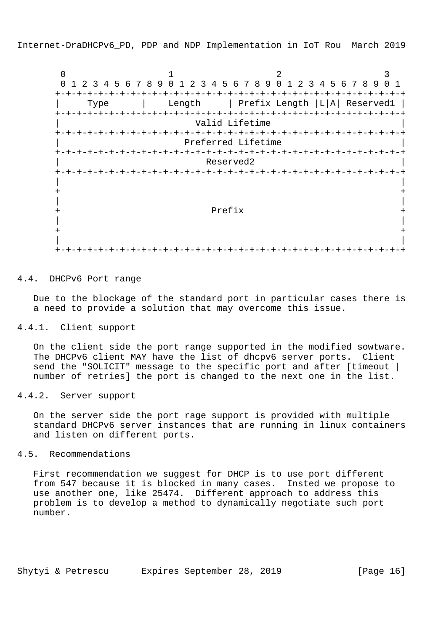$0$  1 2 3 0 1 2 3 4 5 6 7 8 9 0 1 2 3 4 5 6 7 8 9 0 1 2 3 4 5 6 7 8 9 0 1 +-+-+-+-+-+-+-+-+-+-+-+-+-+-+-+-+-+-+-+-+-+-+-+-+-+-+-+-+-+-+-+-+ | Type | Length | Prefix Length |L|A| Reserved1 | +-+-+-+-+-+-+-+-+-+-+-+-+-+-+-+-+-+-+-+-+-+-+-+-+-+-+-+-+-+-+-+-+ Valid Lifetime +-+-+-+-+-+-+-+-+-+-+-+-+-+-+-+-+-+-+-+-+-+-+-+-+-+-+-+-+-+-+-+-+ Preferred Lifetime +-+-+-+-+-+-+-+-+-+-+-+-+-+-+-+-+-+-+-+-+-+-+-+-+-+-+-+-+-+-+-+-+  $|\hspace{.1cm}|\hspace{.1cm}|\hspace{.1cm}|\hspace{.1cm}|\hspace{.1cm}|\hspace{.1cm}|\hspace{.1cm}|\hspace{.1cm}|\hspace{.1cm}|\hspace{.1cm}|\hspace{.1cm}|\hspace{.1cm}|\hspace{.1cm}|\hspace{.1cm}|\hspace{.1cm}|\hspace{.1cm}|\hspace{.1cm}|\hspace{.1cm}|\hspace{.1cm}|\hspace{.1cm}|\hspace{.1cm}|\hspace{.1cm}|\hspace{.1cm}|\hspace{.1cm}|\hspace{.1cm}|\hspace{.1cm}|\hspace{.1cm}|\hspace{$  +-+-+-+-+-+-+-+-+-+-+-+-+-+-+-+-+-+-+-+-+-+-+-+-+-+-+-+-+-+-+-+-+ | |  $+$  +  $+$  +  $+$  +  $+$  +  $+$  +  $+$  +  $+$  +  $+$  +  $+$  +  $+$  +  $+$  +  $+$  +  $+$  +  $+$  +  $+$  +  $+$  +  $+$  +  $+$  +  $+$  +  $+$  +  $+$  +  $+$  +  $+$  +  $+$  +  $+$  +  $+$  +  $+$  +  $+$  +  $+$  +  $+$  +  $+$  +  $+$  +  $+$  +  $+$  +  $+$  +  $+$  +  $+$  + | | + Prefix + | |  $+$  +  $+$  +  $+$  +  $+$  +  $+$  +  $+$  +  $+$  +  $+$  +  $+$  +  $+$  +  $+$  +  $+$  +  $+$  +  $+$  +  $+$  +  $+$  +  $+$  +  $+$  +  $+$  +  $+$  +  $+$  +  $+$  +  $+$  +  $+$  +  $+$  +  $+$  +  $+$  +  $+$  +  $+$  +  $+$  +  $+$  +  $+$  +  $+$  +  $+$  +  $+$  +  $+$  +  $+$  + | | +-+-+-+-+-+-+-+-+-+-+-+-+-+-+-+-+-+-+-+-+-+-+-+-+-+-+-+-+-+-+-+-+

#### 4.4. DHCPv6 Port range

 Due to the blockage of the standard port in particular cases there is a need to provide a solution that may overcome this issue.

#### 4.4.1. Client support

 On the client side the port range supported in the modified sowtware. The DHCPv6 client MAY have the list of dhcpv6 server ports. Client send the "SOLICIT" message to the specific port and after [timeout | number of retries] the port is changed to the next one in the list.

# 4.4.2. Server support

 On the server side the port rage support is provided with multiple standard DHCPv6 server instances that are running in linux containers and listen on different ports.

# 4.5. Recommendations

 First recommendation we suggest for DHCP is to use port different from 547 because it is blocked in many cases. Insted we propose to use another one, like 25474. Different approach to address this problem is to develop a method to dynamically negotiate such port number.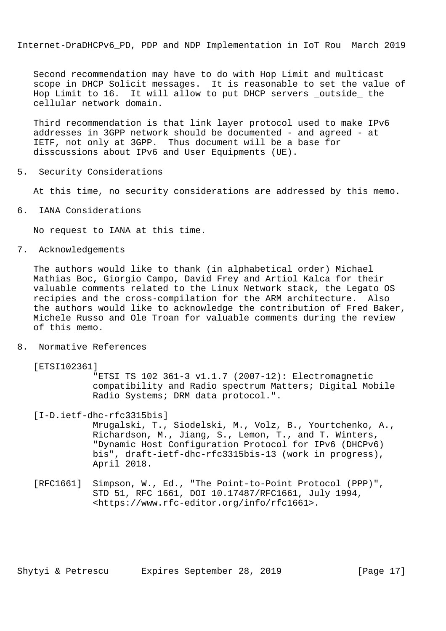Second recommendation may have to do with Hop Limit and multicast scope in DHCP Solicit messages. It is reasonable to set the value of Hop Limit to 16. It will allow to put DHCP servers \_outside\_ the cellular network domain.

 Third recommendation is that link layer protocol used to make IPv6 addresses in 3GPP network should be documented - and agreed - at IETF, not only at 3GPP. Thus document will be a base for disscussions about IPv6 and User Equipments (UE).

5. Security Considerations

At this time, no security considerations are addressed by this memo.

6. IANA Considerations

No request to IANA at this time.

7. Acknowledgements

 The authors would like to thank (in alphabetical order) Michael Mathias Boc, Giorgio Campo, David Frey and Artiol Kalca for their valuable comments related to the Linux Network stack, the Legato OS recipies and the cross-compilation for the ARM architecture. Also the authors would like to acknowledge the contribution of Fred Baker, Michele Russo and Ole Troan for valuable comments during the review of this memo.

8. Normative References

[ETSI102361]

 "ETSI TS 102 361-3 v1.1.7 (2007-12): Electromagnetic compatibility and Radio spectrum Matters; Digital Mobile Radio Systems; DRM data protocol.".

[I-D.ietf-dhc-rfc3315bis]

 Mrugalski, T., Siodelski, M., Volz, B., Yourtchenko, A., Richardson, M., Jiang, S., Lemon, T., and T. Winters, "Dynamic Host Configuration Protocol for IPv6 (DHCPv6) bis", draft-ietf-dhc-rfc3315bis-13 (work in progress), April 2018.

 [RFC1661] Simpson, W., Ed., "The Point-to-Point Protocol (PPP)", STD 51, RFC 1661, DOI 10.17487/RFC1661, July 1994, <https://www.rfc-editor.org/info/rfc1661>.

Shytyi & Petrescu Expires September 28, 2019 [Page 17]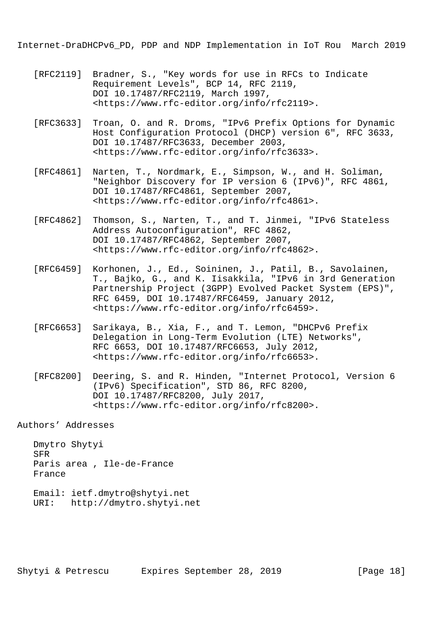- [RFC2119] Bradner, S., "Key words for use in RFCs to Indicate Requirement Levels", BCP 14, RFC 2119, DOI 10.17487/RFC2119, March 1997, <https://www.rfc-editor.org/info/rfc2119>.
- [RFC3633] Troan, O. and R. Droms, "IPv6 Prefix Options for Dynamic Host Configuration Protocol (DHCP) version 6", RFC 3633, DOI 10.17487/RFC3633, December 2003, <https://www.rfc-editor.org/info/rfc3633>.
- [RFC4861] Narten, T., Nordmark, E., Simpson, W., and H. Soliman, "Neighbor Discovery for IP version 6 (IPv6)", RFC 4861, DOI 10.17487/RFC4861, September 2007, <https://www.rfc-editor.org/info/rfc4861>.
- [RFC4862] Thomson, S., Narten, T., and T. Jinmei, "IPv6 Stateless Address Autoconfiguration", RFC 4862, DOI 10.17487/RFC4862, September 2007, <https://www.rfc-editor.org/info/rfc4862>.
- [RFC6459] Korhonen, J., Ed., Soininen, J., Patil, B., Savolainen, T., Bajko, G., and K. Iisakkila, "IPv6 in 3rd Generation Partnership Project (3GPP) Evolved Packet System (EPS)", RFC 6459, DOI 10.17487/RFC6459, January 2012, <https://www.rfc-editor.org/info/rfc6459>.
- [RFC6653] Sarikaya, B., Xia, F., and T. Lemon, "DHCPv6 Prefix Delegation in Long-Term Evolution (LTE) Networks", RFC 6653, DOI 10.17487/RFC6653, July 2012, <https://www.rfc-editor.org/info/rfc6653>.
- [RFC8200] Deering, S. and R. Hinden, "Internet Protocol, Version 6 (IPv6) Specification", STD 86, RFC 8200, DOI 10.17487/RFC8200, July 2017, <https://www.rfc-editor.org/info/rfc8200>.

Authors' Addresses

 Dmytro Shytyi SFR Paris area , Ile-de-France France

 Email: ietf.dmytro@shytyi.net URI: http://dmytro.shytyi.net